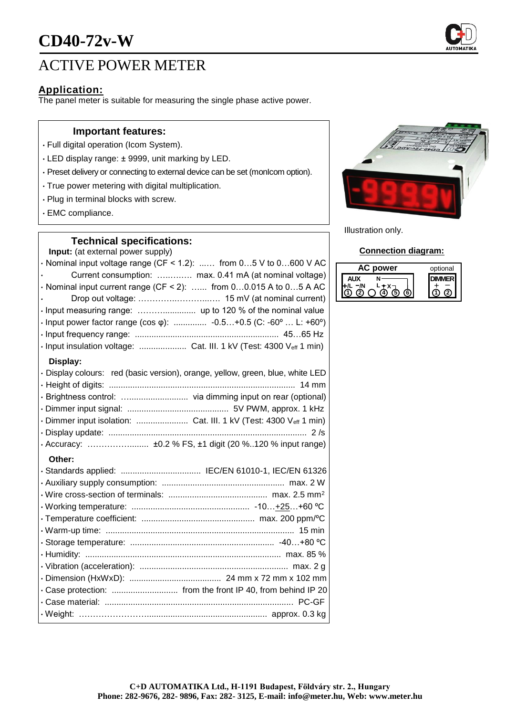

# ACTIVE POWER METER

## **Application:**

The panel meter is suitable for measuring the single phase active power.

## **Important features:**

- Full digital operation (Icom System).
- LED display range: ± 9999, unit marking by LED.
- Preset delivery or connecting to external device can be set (monIcom option).
- True power metering with digital multiplication.
- Plug in terminal blocks with screw.
- EMC compliance.

## **Technical specifications:**

**Input:** (at external power supply)

 $\cdot$  Nominal input voltage range (CF < 1.2): ...... from 0...5 V to 0...600 V AC • Current consumption: …..….…. max. 0.41 mA (at nominal voltage)  $\cdot$  Nominal input current range (CF < 2): ...... from 0...0.015 A to 0...5 A AC • Drop out voltage: …………..………...…. 15 mV (at nominal current) • Input measuring range: ……….............. up to 120 % of the nominal value • Input power factor range (cos φ): .............. -0.5…+0.5 (C: -60º … L: +60º) • Input frequency range: ............................................................. 45…65 Hz • Input insulation voltage: .................... Cat. III. 1 kV (Test: 4300 Veff 1 min) **Display:** • Display colours: red (basic version), orange, yellow, green, blue, white LED • Height of digits: ............................................................................... 14 mm • Brightness control: …......................... via dimming input on rear (optional) • Dimmer input signal: ........................................... 5V PWM, approx. 1 kHz • Dimmer input isolation: ........................... Cat. III. 1 kV (Test: 4300 Veff 1 min) • Display update: .................................................................................... 2 /s • Accuracy: ……………........ ±0.2 % FS, ±1 digit (20 %..120 % input range) **Other:** • Standards applied: .................................. IEC/EN 61010-1, IEC/EN 61326 • Auxiliary supply consumption: .................................................... max. 2 W • Wire cross-section of terminals: .......................................... max. 2.5 mm<sup>2</sup> • Working temperature: .................................................. -10…+25…+60 ºC • Temperature coefficient: ................................................ max. 200 ppm/ºC



• Case material: ................................................................................ PC-GF • Weight: ……………………................................................... approx. 0.3 kg



Illustration only.

#### **Connection diagram:**

| power | optional |
|-------|----------|
|       |          |